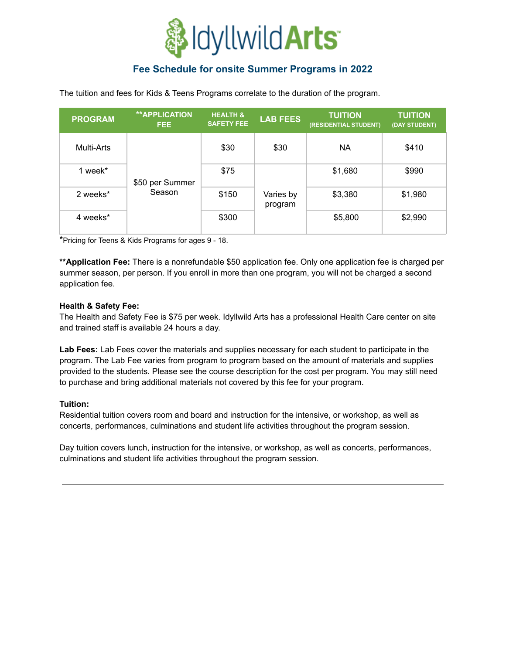

# **Fee Schedule for onsite Summer Programs in 2022**

The tuition and fees for Kids & Teens Programs correlate to the duration of the program.

| <b>PROGRAM</b> | <b>**APPLICATION</b><br>FEE. | <b>HEALTH &amp;</b><br><b>SAFETY FEE</b> | <b>LAB FEES</b>      | <b>TUITION</b><br>(RESIDENTIAL STUDENT) | <b>TUITION</b><br>(DAY STUDENT) |
|----------------|------------------------------|------------------------------------------|----------------------|-----------------------------------------|---------------------------------|
| Multi-Arts     | \$50 per Summer<br>Season    | \$30                                     | \$30                 | ΝA                                      | \$410                           |
| 1 week*        |                              | \$75                                     | Varies by<br>program | \$1,680                                 | \$990                           |
| 2 weeks*       |                              | \$150                                    |                      | \$3,380                                 | \$1,980                         |
| 4 weeks*       |                              | \$300                                    |                      | \$5,800                                 | \$2,990                         |

\*Pricing for Teens & Kids Programs for ages 9 - 18.

**\*\*Application Fee:** There is a nonrefundable \$50 application fee. Only one application fee is charged per summer season, per person. If you enroll in more than one program, you will not be charged a second application fee.

#### **Health & Safety Fee:**

The Health and Safety Fee is \$75 per week. Idyllwild Arts has a professional Health Care center on site and trained staff is available 24 hours a day.

**Lab Fees:** Lab Fees cover the materials and supplies necessary for each student to participate in the program. The Lab Fee varies from program to program based on the amount of materials and supplies provided to the students. Please see the course description for the cost per program. You may still need to purchase and bring additional materials not covered by this fee for your program.

#### **Tuition:**

Residential tuition covers room and board and instruction for the intensive, or workshop, as well as concerts, performances, culminations and student life activities throughout the program session.

Day tuition covers lunch, instruction for the intensive, or workshop, as well as concerts, performances, culminations and student life activities throughout the program session.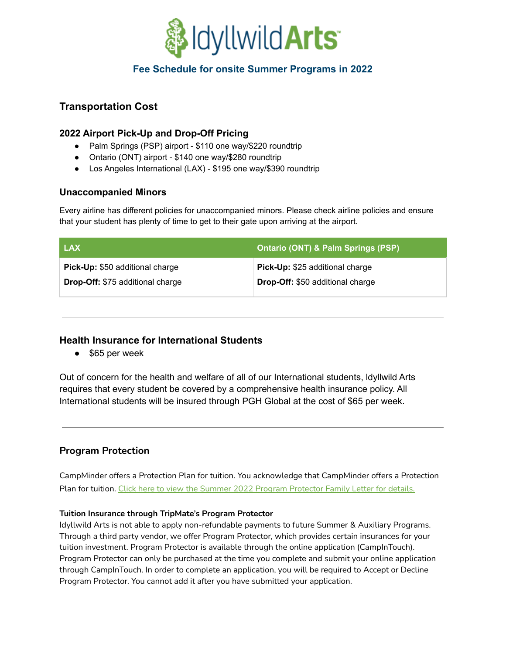

## **Fee Schedule for onsite Summer Programs in 2022**

## **Transportation Cost**

## **2022 Airport Pick-Up and Drop-Off Pricing**

- Palm Springs (PSP) airport \$110 one way/\$220 roundtrip
- Ontario (ONT) airport \$140 one way/\$280 roundtrip
- Los Angeles International (LAX) \$195 one way/\$390 roundtrip

#### **Unaccompanied Minors**

Every airline has different policies for unaccompanied minors. Please check airline policies and ensure that your student has plenty of time to get to their gate upon arriving at the airport.

| <b>LAX</b>                              | <b>Ontario (ONT) &amp; Palm Springs (PSP)</b> |
|-----------------------------------------|-----------------------------------------------|
| Pick-Up: \$50 additional charge         | Pick-Up: \$25 additional charge               |
| <b>Drop-Off: \$75 additional charge</b> | <b>Drop-Off: \$50 additional charge</b>       |

## **Health Insurance for International Students**

● \$65 per week

Out of concern for the health and welfare of all of our International students, ldyllwild Arts requires that every student be covered by a comprehensive health insurance policy. All International students will be insured through PGH Global at the cost of \$65 per week.

## **Program Protection**

CampMinder offers a Protection Plan for tuition. You acknowledge that CampMinder offers a Protection Plan for tuition. Click here to view the Summer 2022 Program [Protector](https://drive.google.com/file/d/17XyF4-FMDN1lnY6S36o-s4uNMAoN1h4I/view?usp=sharing) Family Letter for details.

#### **Tuition Insurance through TripMate's Program Protector**

Idyllwild Arts is not able to apply non-refundable payments to future Summer & Auxiliary Programs. Through a third party vendor, we offer Program Protector, which provides certain insurances for your tuition investment. Program Protector is available through the online application (CampInTouch). Program Protector can only be purchased at the time you complete and submit your online application through CampInTouch. In order to complete an application, you will be required to Accept or Decline Program Protector. You cannot add it after you have submitted your application.